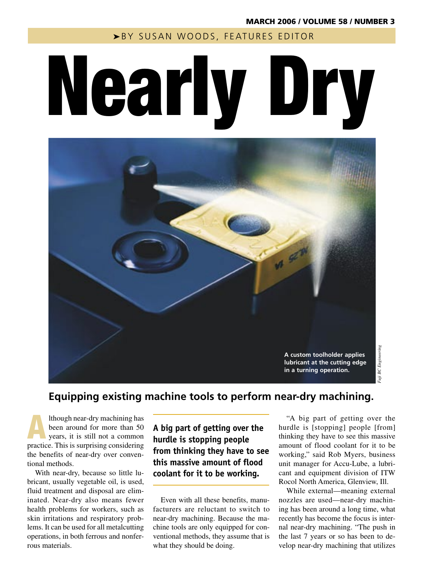▶BY SUSAN WOODS, FEATURES EDITOR

# Nearly Dry



# **Equipping existing machine tools to perform near-dry machining.**

Ithough near-dry machining has<br>been around for more than 50<br>years, it is still not a common<br>prestige This is summising considering been around for more than 50 practice. This is surprising considering the benefits of near-dry over conventional methods.

With near-dry, because so little lubricant, usually vegetable oil, is used, fluid treatment and disposal are eliminated. Near-dry also means fewer health problems for workers, such as skin irritations and respiratory problems. It can be used for all metalcutting operations, in both ferrous and nonferrous materials.

**A big part of getting over the hurdle is stopping people from thinking they have to see this massive amount of flood coolant for it to be working.**

Even with all these benefits, manufacturers are reluctant to switch to near-dry machining. Because the machine tools are only equipped for conventional methods, they assume that is what they should be doing.

"A big part of getting over the hurdle is [stopping] people [from] thinking they have to see this massive amount of flood coolant for it to be working," said Rob Myers, business unit manager for Accu-Lube, a lubricant and equipment division of ITW Rocol North America, Glenview, Ill.

*Fuji BC Engineering*

BC Engineering

While external—meaning external nozzles are used—near-dry machining has been around a long time, what recently has become the focus is internal near-dry machining. "The push in the last 7 years or so has been to develop near-dry machining that utilizes